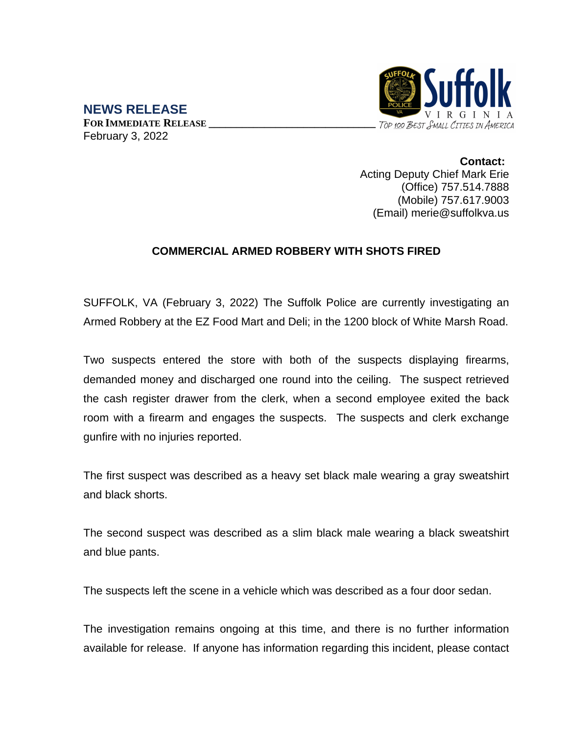

**NEWS RELEASE FOR IMMEDIATE RELEASE \_\_\_\_\_\_\_\_\_\_\_\_\_\_\_\_\_\_\_\_\_\_\_\_\_\_\_\_\_\_** February 3, 2022

> **Contact:** Acting Deputy Chief Mark Erie (Office) 757.514.7888 (Mobile) 757.617.9003 (Email) merie@suffolkva.us

## **COMMERCIAL ARMED ROBBERY WITH SHOTS FIRED**

SUFFOLK, VA (February 3, 2022) The Suffolk Police are currently investigating an Armed Robbery at the EZ Food Mart and Deli; in the 1200 block of White Marsh Road.

Two suspects entered the store with both of the suspects displaying firearms, demanded money and discharged one round into the ceiling. The suspect retrieved the cash register drawer from the clerk, when a second employee exited the back room with a firearm and engages the suspects. The suspects and clerk exchange gunfire with no injuries reported.

The first suspect was described as a heavy set black male wearing a gray sweatshirt and black shorts.

The second suspect was described as a slim black male wearing a black sweatshirt and blue pants.

The suspects left the scene in a vehicle which was described as a four door sedan.

The investigation remains ongoing at this time, and there is no further information available for release. If anyone has information regarding this incident, please contact